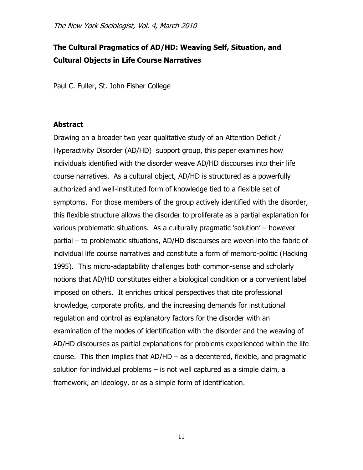# **The Cultural Pragmatics of AD/HD: Weaving Self, Situation, and Cultural Objects in Life Course Narratives**

Paul C. Fuller, St. John Fisher College

## **Abstract**

Drawing on a broader two year qualitative study of an Attention Deficit / Hyperactivity Disorder (AD/HD) support group, this paper examines how individuals identified with the disorder weave AD/HD discourses into their life course narratives. As a cultural object, AD/HD is structured as a powerfully authorized and well-instituted form of knowledge tied to a flexible set of symptoms. For those members of the group actively identified with the disorder, this flexible structure allows the disorder to proliferate as a partial explanation for various problematic situations. As a culturally pragmatic "solution" – however partial – to problematic situations, AD/HD discourses are woven into the fabric of individual life course narratives and constitute a form of memoro-politic (Hacking 1995). This micro-adaptability challenges both common-sense and scholarly notions that AD/HD constitutes either a biological condition or a convenient label imposed on others. It enriches critical perspectives that cite professional knowledge, corporate profits, and the increasing demands for institutional regulation and control as explanatory factors for the disorder with an examination of the modes of identification with the disorder and the weaving of AD/HD discourses as partial explanations for problems experienced within the life course. This then implies that  $AD/HD - as a$  decentered, flexible, and pragmatic solution for individual problems – is not well captured as a simple claim, a framework, an ideology, or as a simple form of identification.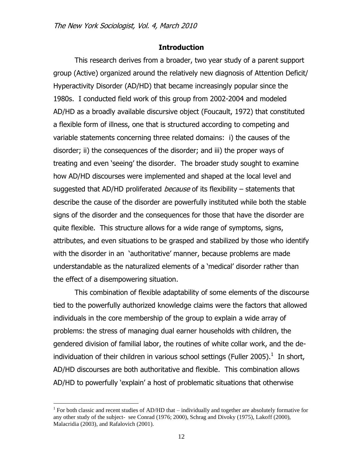#### **Introduction**

This research derives from a broader, two year study of a parent support group (Active) organized around the relatively new diagnosis of Attention Deficit/ Hyperactivity Disorder (AD/HD) that became increasingly popular since the 1980s. I conducted field work of this group from 2002-2004 and modeled AD/HD as a broadly available discursive object (Foucault, 1972) that constituted a flexible form of illness, one that is structured according to competing and variable statements concerning three related domains: i) the causes of the disorder; ii) the consequences of the disorder; and iii) the proper ways of treating and even "seeing" the disorder. The broader study sought to examine how AD/HD discourses were implemented and shaped at the local level and suggested that AD/HD proliferated *because* of its flexibility – statements that describe the cause of the disorder are powerfully instituted while both the stable signs of the disorder and the consequences for those that have the disorder are quite flexible. This structure allows for a wide range of symptoms, signs, attributes, and even situations to be grasped and stabilized by those who identify with the disorder in an "authoritative" manner, because problems are made understandable as the naturalized elements of a "medical" disorder rather than the effect of a disempowering situation.

This combination of flexible adaptability of some elements of the discourse tied to the powerfully authorized knowledge claims were the factors that allowed individuals in the core membership of the group to explain a wide array of problems: the stress of managing dual earner households with children, the gendered division of familial labor, the routines of white collar work, and the deindividuation of their children in various school settings (Fuller 2005). $^1$  In short, AD/HD discourses are both authoritative and flexible. This combination allows AD/HD to powerfully "explain" a host of problematic situations that otherwise

<sup>&</sup>lt;sup>1</sup> For both classic and recent studies of AD/HD that  $-$  individually and together are absolutely formative for any other study of the subject- see Conrad (1976; 2000), Schrag and Divoky (1975), Lakoff (2000), Malacridia (2003), and Rafalovich (2001).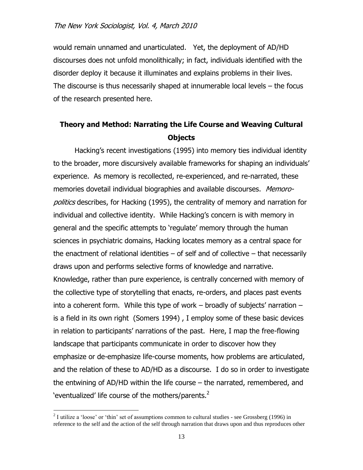would remain unnamed and unarticulated. Yet, the deployment of AD/HD discourses does not unfold monolithically; in fact, individuals identified with the disorder deploy it because it illuminates and explains problems in their lives. The discourse is thus necessarily shaped at innumerable local levels – the focus of the research presented here.

## **Theory and Method: Narrating the Life Course and Weaving Cultural Objects**

Hacking"s recent investigations (1995) into memory ties individual identity to the broader, more discursively available frameworks for shaping an individuals" experience. As memory is recollected, re-experienced, and re-narrated, these memories dovetail individual biographies and available discourses. Memoropolitics describes, for Hacking (1995), the centrality of memory and narration for individual and collective identity. While Hacking's concern is with memory in general and the specific attempts to "regulate" memory through the human sciences in psychiatric domains, Hacking locates memory as a central space for the enactment of relational identities – of self and of collective – that necessarily draws upon and performs selective forms of knowledge and narrative. Knowledge, rather than pure experience, is centrally concerned with memory of the collective type of storytelling that enacts, re-orders, and places past events into a coherent form. While this type of work  $-$  broadly of subjects' narration  $$ is a field in its own right (Somers 1994) , I employ some of these basic devices in relation to participants' narrations of the past. Here, I map the free-flowing landscape that participants communicate in order to discover how they emphasize or de-emphasize life-course moments, how problems are articulated, and the relation of these to AD/HD as a discourse. I do so in order to investigate the entwining of AD/HD within the life course – the narrated, remembered, and 'eventualized' life course of the mothers/parents. $<sup>2</sup>$ </sup>

 $2^{2}$  I utilize a 'loose' or 'thin' set of assumptions common to cultural studies - see Grossberg (1996) in reference to the self and the action of the self through narration that draws upon and thus reproduces other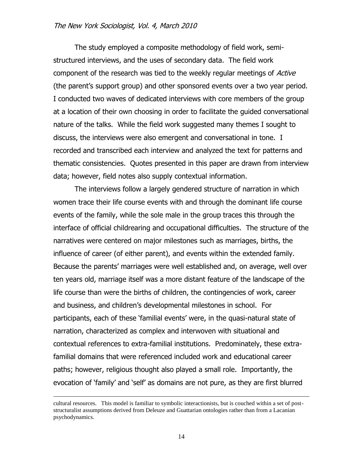The study employed a composite methodology of field work, semistructured interviews, and the uses of secondary data. The field work component of the research was tied to the weekly regular meetings of Active (the parent"s support group) and other sponsored events over a two year period. I conducted two waves of dedicated interviews with core members of the group at a location of their own choosing in order to facilitate the guided conversational nature of the talks. While the field work suggested many themes I sought to discuss, the interviews were also emergent and conversational in tone. I recorded and transcribed each interview and analyzed the text for patterns and thematic consistencies. Quotes presented in this paper are drawn from interview data; however, field notes also supply contextual information.

The interviews follow a largely gendered structure of narration in which women trace their life course events with and through the dominant life course events of the family, while the sole male in the group traces this through the interface of official childrearing and occupational difficulties. The structure of the narratives were centered on major milestones such as marriages, births, the influence of career (of either parent), and events within the extended family. Because the parents" marriages were well established and, on average, well over ten years old, marriage itself was a more distant feature of the landscape of the life course than were the births of children, the contingencies of work, career and business, and children"s developmental milestones in school. For participants, each of these 'familial events' were, in the quasi-natural state of narration, characterized as complex and interwoven with situational and contextual references to extra-familial institutions. Predominately, these extrafamilial domains that were referenced included work and educational career paths; however, religious thought also played a small role. Importantly, the evocation of "family" and "self" as domains are not pure, as they are first blurred

cultural resources. This model is familiar to symbolic interactionists, but is couched within a set of poststructuralist assumptions derived from Deleuze and Guattarian ontologies rather than from a Lacanian psychodynamics.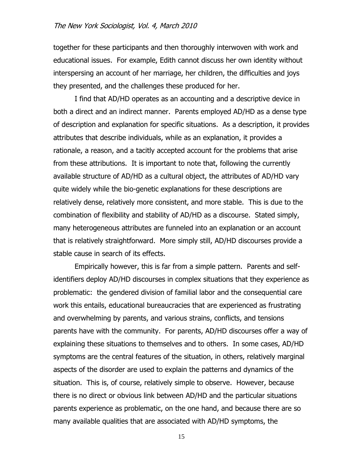together for these participants and then thoroughly interwoven with work and educational issues. For example, Edith cannot discuss her own identity without interspersing an account of her marriage, her children, the difficulties and joys they presented, and the challenges these produced for her.

I find that AD/HD operates as an accounting and a descriptive device in both a direct and an indirect manner. Parents employed AD/HD as a dense type of description and explanation for specific situations. As a description, it provides attributes that describe individuals, while as an explanation, it provides a rationale, a reason, and a tacitly accepted account for the problems that arise from these attributions. It is important to note that, following the currently available structure of AD/HD as a cultural object, the attributes of AD/HD vary quite widely while the bio-genetic explanations for these descriptions are relatively dense, relatively more consistent, and more stable. This is due to the combination of flexibility and stability of AD/HD as a discourse. Stated simply, many heterogeneous attributes are funneled into an explanation or an account that is relatively straightforward. More simply still, AD/HD discourses provide a stable cause in search of its effects.

Empirically however, this is far from a simple pattern. Parents and selfidentifiers deploy AD/HD discourses in complex situations that they experience as problematic: the gendered division of familial labor and the consequential care work this entails, educational bureaucracies that are experienced as frustrating and overwhelming by parents, and various strains, conflicts, and tensions parents have with the community. For parents, AD/HD discourses offer a way of explaining these situations to themselves and to others. In some cases, AD/HD symptoms are the central features of the situation, in others, relatively marginal aspects of the disorder are used to explain the patterns and dynamics of the situation. This is, of course, relatively simple to observe. However, because there is no direct or obvious link between AD/HD and the particular situations parents experience as problematic, on the one hand, and because there are so many available qualities that are associated with AD/HD symptoms, the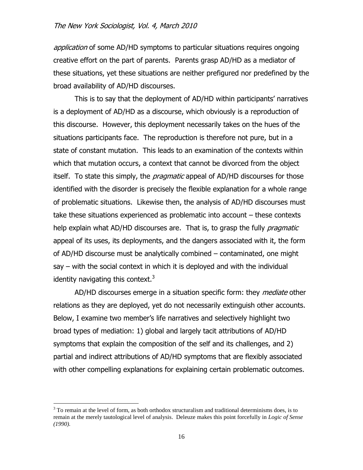application of some AD/HD symptoms to particular situations requires ongoing creative effort on the part of parents. Parents grasp AD/HD as a mediator of these situations, yet these situations are neither prefigured nor predefined by the broad availability of AD/HD discourses.

This is to say that the deployment of AD/HD within participants' narratives is a deployment of AD/HD as a discourse, which obviously is a reproduction of this discourse. However, this deployment necessarily takes on the hues of the situations participants face. The reproduction is therefore not pure, but in a state of constant mutation. This leads to an examination of the contexts within which that mutation occurs, a context that cannot be divorced from the object itself. To state this simply, the *pragmatic* appeal of AD/HD discourses for those identified with the disorder is precisely the flexible explanation for a whole range of problematic situations. Likewise then, the analysis of AD/HD discourses must take these situations experienced as problematic into account – these contexts help explain what AD/HD discourses are. That is, to grasp the fully *pragmatic* appeal of its uses, its deployments, and the dangers associated with it, the form of AD/HD discourse must be analytically combined – contaminated, one might say – with the social context in which it is deployed and with the individual identity navigating this context.<sup>3</sup>

AD/HD discourses emerge in a situation specific form: they *mediate* other relations as they are deployed, yet do not necessarily extinguish other accounts. Below, I examine two member's life narratives and selectively highlight two broad types of mediation: 1) global and largely tacit attributions of AD/HD symptoms that explain the composition of the self and its challenges, and 2) partial and indirect attributions of AD/HD symptoms that are flexibly associated with other compelling explanations for explaining certain problematic outcomes.

 $3$  To remain at the level of form, as both orthodox structuralism and traditional determinisms does, is to remain at the merely tautological level of analysis. Deleuze makes this point forcefully in *Logic of Sense (1990).*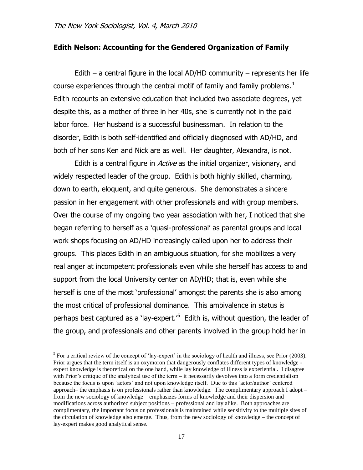$\overline{a}$ 

## **Edith Nelson: Accounting for the Gendered Organization of Family**

Edith – a central figure in the local AD/HD community – represents her life course experiences through the central motif of family and family problems.<sup>4</sup> Edith recounts an extensive education that included two associate degrees, yet despite this, as a mother of three in her 40s, she is currently not in the paid labor force. Her husband is a successful businessman. In relation to the disorder, Edith is both self-identified and officially diagnosed with AD/HD, and both of her sons Ken and Nick are as well. Her daughter, Alexandra, is not.

Edith is a central figure in *Active* as the initial organizer, visionary, and widely respected leader of the group. Edith is both highly skilled, charming, down to earth, eloquent, and quite generous. She demonstrates a sincere passion in her engagement with other professionals and with group members. Over the course of my ongoing two year association with her, I noticed that she began referring to herself as a "quasi-professional" as parental groups and local work shops focusing on AD/HD increasingly called upon her to address their groups. This places Edith in an ambiguous situation, for she mobilizes a very real anger at incompetent professionals even while she herself has access to and support from the local University center on AD/HD; that is, even while she herself is one of the most "professional" amongst the parents she is also among the most critical of professional dominance. This ambivalence in status is perhaps best captured as a 'lay-expert.'<sup>5</sup> Edith is, without question, the leader of the group, and professionals and other parents involved in the group hold her in

 $<sup>5</sup>$  For a critical review of the concept of 'lay-expert' in the sociology of health and illness, see Prior (2003).</sup> Prior argues that the term itself is an oxymoron that dangerously conflates different types of knowledge expert knowledge is theoretical on the one hand, while lay knowledge of illness is experiential. I disagree with Prior's critique of the analytical use of the term – it necessarily devolves into a form credentialism because the focus is upon "actors" and not upon knowledge itself. Due to this "actor/author" centered approach– the emphasis is on professionals rather than knowledge. The complimentary approach I adopt – from the new sociology of knowledge – emphasizes forms of knowledge and their dispersion and modifications across authorized subject positions – professional and lay alike. Both approaches are complimentary, the important focus on professionals is maintained while sensitivity to the multiple sites of the circulation of knowledge also emerge. Thus, from the new sociology of knowledge – the concept of lay-expert makes good analytical sense.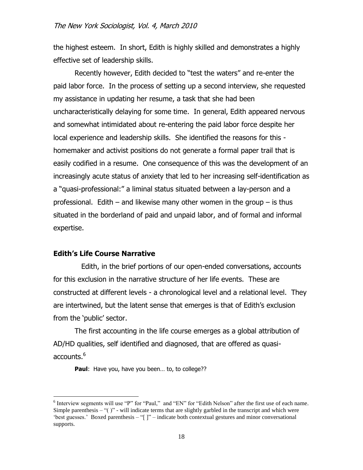the highest esteem. In short, Edith is highly skilled and demonstrates a highly effective set of leadership skills.

Recently however, Edith decided to "test the waters" and re-enter the paid labor force. In the process of setting up a second interview, she requested my assistance in updating her resume, a task that she had been uncharacteristically delaying for some time. In general, Edith appeared nervous and somewhat intimidated about re-entering the paid labor force despite her local experience and leadership skills. She identified the reasons for this homemaker and activist positions do not generate a formal paper trail that is easily codified in a resume. One consequence of this was the development of an increasingly acute status of anxiety that led to her increasing self-identification as a "quasi-professional:" a liminal status situated between a lay-person and a professional. Edith – and likewise many other women in the group – is thus situated in the borderland of paid and unpaid labor, and of formal and informal expertise.

#### **Edith's Life Course Narrative**

 $\overline{a}$ 

 Edith, in the brief portions of our open-ended conversations, accounts for this exclusion in the narrative structure of her life events. These are constructed at different levels - a chronological level and a relational level. They are intertwined, but the latent sense that emerges is that of Edith"s exclusion from the 'public' sector.

The first accounting in the life course emerges as a global attribution of AD/HD qualities, self identified and diagnosed, that are offered as quasiaccounts. $^6\,$ 

Paul: Have you, have you been... to, to college??

 $6$  Interview segments will use "P" for "Paul," and "EN" for "Edith Nelson" after the first use of each name. Simple parenthesis  $-$  "()" - will indicate terms that are slightly garbled in the transcript and which were "best guesses." Boxed parenthesis – "[]" – indicate both contextual gestures and minor conversational supports.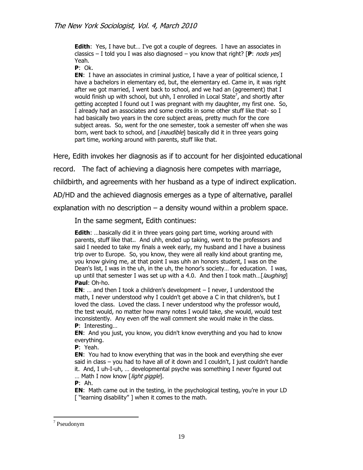**Edith:** Yes, I have but... I've got a couple of degrees. I have an associates in classics – I told you I was also diagnosed – you know that right? [**P**: nods yes] Yeah.

**P**: Ok.

**EN:** I have an associates in criminal justice, I have a year of political science, I have a bachelors in elementary ed, but, the elementary ed. Came in, it was right after we got married, I went back to school, and we had an (agreement) that I would finish up with school, but uhh, I enrolled in Local State<sup>7</sup>, and shortly after getting accepted I found out I was pregnant with my daughter, my first one. So, I already had an associates and some credits in some other stuff like that- so I had basically two years in the core subject areas, pretty much for the core subject areas. So, went for the one semester, took a semester off when she was born, went back to school, and [*inaudible*] basically did it in three years going part time, working around with parents, stuff like that.

Here, Edith invokes her diagnosis as if to account for her disjointed educational

record. The fact of achieving a diagnosis here competes with marriage,

childbirth, and agreements with her husband as a type of indirect explication.

AD/HD and the achieved diagnosis emerges as a type of alternative, parallel

explanation with no description – a density wound within a problem space.

In the same segment, Edith continues:

**Edith:** ...basically did it in three years going part time, working around with parents, stuff like that.. And uhh, ended up taking, went to the professors and said I needed to take my finals a week early, my husband and I have a business trip over to Europe. So, you know, they were all really kind about granting me, you know giving me, at that point I was uhh an honors student, I was on the Dean's list, I was in the uh, in the uh, the honor's society… for education. I was, up until that semester I was set up with a 4.0. And then I took math... [*laughing*] **Paul**: Oh-ho.

**EN**: ... and then I took a children's development  $-$  I never, I understood the math, I never understood why I couldn't get above a C in that children's, but I loved the class. Loved the class. I never understood why the professor would, the test would, no matter how many notes I would take, she would, would test inconsistently. Any even off the wall comment she would make in the class. **P**: Interesting…

**EN**: And you just, you know, you didn't know everything and you had to know everything.

**P**: Yeah.

**EN**: You had to know everything that was in the book and everything she ever said in class – you had to have all of it down and I couldn't, I just couldn't handle it. And, I uh-I-uh, … developmental psyche was something I never figured out ... Math I now know [*light giggle*].

**P**: Ah.

**EN**: Math came out in the testing, in the psychological testing, you're in your LD ["learning disability"] when it comes to the math.

<sup>7</sup> Pseudonym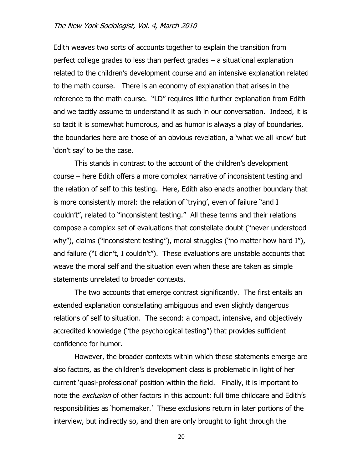Edith weaves two sorts of accounts together to explain the transition from perfect college grades to less than perfect grades – a situational explanation related to the children's development course and an intensive explanation related to the math course. There is an economy of explanation that arises in the reference to the math course. "LD" requires little further explanation from Edith and we tacitly assume to understand it as such in our conversation. Indeed, it is so tacit it is somewhat humorous, and as humor is always a play of boundaries, the boundaries here are those of an obvious revelation, a "what we all know" but "don"t say" to be the case.

This stands in contrast to the account of the children"s development course – here Edith offers a more complex narrative of inconsistent testing and the relation of self to this testing. Here, Edith also enacts another boundary that is more consistently moral: the relation of 'trying', even of failure "and I couldn"t", related to "inconsistent testing." All these terms and their relations compose a complex set of evaluations that constellate doubt ("never understood why"), claims ("inconsistent testing"), moral struggles ("no matter how hard I"), and failure ("I didn't, I couldn't"). These evaluations are unstable accounts that weave the moral self and the situation even when these are taken as simple statements unrelated to broader contexts.

The two accounts that emerge contrast significantly. The first entails an extended explanation constellating ambiguous and even slightly dangerous relations of self to situation. The second: a compact, intensive, and objectively accredited knowledge ("the psychological testing") that provides sufficient confidence for humor.

However, the broader contexts within which these statements emerge are also factors, as the children"s development class is problematic in light of her current "quasi-professional" position within the field. Finally, it is important to note the *exclusion* of other factors in this account: full time childcare and Edith's responsibilities as "homemaker." These exclusions return in later portions of the interview, but indirectly so, and then are only brought to light through the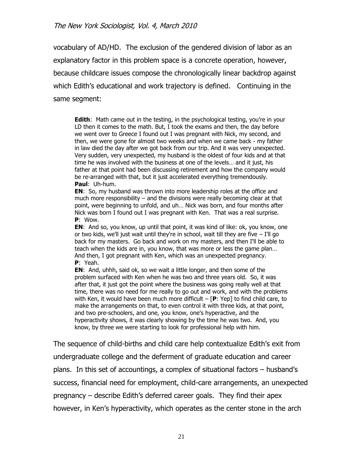vocabulary of AD/HD. The exclusion of the gendered division of labor as an explanatory factor in this problem space is a concrete operation, however, because childcare issues compose the chronologically linear backdrop against which Edith's educational and work trajectory is defined. Continuing in the same segment:

**Edith:** Math came out in the testing, in the psychological testing, you're in your LD then it comes to the math. But, I took the exams and then, the day before we went over to Greece I found out I was pregnant with Nick, my second, and then, we were gone for almost two weeks and when we came back - my father in law died the day after we got back from our trip. And it was very unexpected. Very sudden, very unexpected, my husband is the oldest of four kids and at that time he was involved with the business at one of the levels… and it just, his father at that point had been discussing retirement and how the company would be re-arranged with that, but it just accelerated everything tremendously. **Paul**: Uh-hum.

**EN**: So, my husband was thrown into more leadership roles at the office and much more responsibility – and the divisions were really becoming clear at that point, were beginning to unfold, and uh… Nick was born, and four months after Nick was born I found out I was pregnant with Ken. That was a real surprise. **P**: Wow.

**EN**: And so, you know, up until that point, it was kind of like: ok, you know, one or two kids, we'll just wait until they're in school, wait till they are five  $-$  I'll go back for my masters. Go back and work on my masters, and then I'll be able to teach when the kids are in, you know, that was more or less the game plan… And then, I got pregnant with Ken, which was an unexpected pregnancy. **P**: Yeah.

**EN**: And, uhhh, said ok, so we wait a little longer, and then some of the problem surfaced with Ken when he was two and three years old. So, it was after that, it just got the point where the business was going really well at that time, there was no need for me really to go out and work, and with the problems with Ken, it would have been much more difficult – [**P**: Yep] to find child care, to make the arrangements on that, to even control it with three kids, at that point, and two pre-schoolers, and one, you know, one's hyperactive, and the hyperactivity shows, it was clearly showing by the time he was two. And, you know, by three we were starting to look for professional help with him.

The sequence of child-births and child care help contextualize Edith's exit from undergraduate college and the deferment of graduate education and career plans. In this set of accountings, a complex of situational factors – husband"s success, financial need for employment, child-care arrangements, an unexpected pregnancy – describe Edith"s deferred career goals. They find their apex however, in Ken's hyperactivity, which operates as the center stone in the arch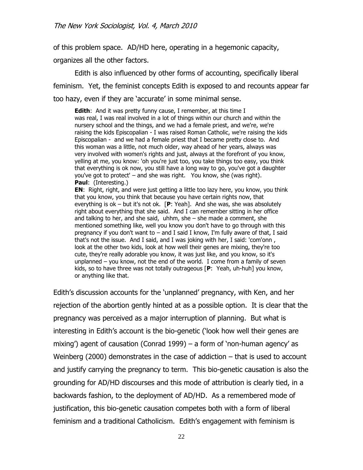of this problem space. AD/HD here, operating in a hegemonic capacity,

organizes all the other factors.

Edith is also influenced by other forms of accounting, specifically liberal feminism. Yet, the feminist concepts Edith is exposed to and recounts appear far too hazy, even if they are 'accurate' in some minimal sense.

**Edith**: And it was pretty funny cause, I remember, at this time I was real, I was real involved in a lot of things within our church and within the nursery school and the things, and we had a female priest, and we're, we're raising the kids Episcopalian - I was raised Roman Catholic, we're raising the kids Episcopalian - and we had a female priest that I became pretty close to. And this woman was a little, not much older, way ahead of her years, always was very involved with women's rights and just, always at the forefront of you know, yelling at me, you know: 'oh you're just too, you take things too easy, you think that everything is ok now, you still have a long way to go, you've got a daughter you've got to protect' – and she was right. You know, she (was right). **Paul**: (Interesting.) **EN**: Right, right, and were just getting a little too lazy here, you know, you think

that you know, you think that because you have certain rights now, that everything is ok – but it's not ok. [**P**: Yeah]. And she was, she was absolutely right about everything that she said. And I can remember sitting in her office and talking to her, and she said, uhhm, she – she made a comment, she mentioned something like, well you know you don't have to go through with this pregnancy if you don't want to – and I said I know, I'm fully aware of that, I said that's not the issue. And I said, and I was joking with her, I said: 'com'onn , look at the other two kids, look at how well their genes are mixing, they're too cute, they're really adorable you know, it was just like, and you know, so it's unplanned – you know, not the end of the world. I come from a family of seven kids, so to have three was not totally outrageous [**P**: Yeah, uh-huh] you know, or anything like that.

Edith"s discussion accounts for the "unplanned" pregnancy, with Ken, and her rejection of the abortion gently hinted at as a possible option. It is clear that the pregnancy was perceived as a major interruption of planning. But what is interesting in Edith's account is the bio-genetic ('look how well their genes are mixing') agent of causation (Conrad 1999) – a form of 'non-human agency' as Weinberg (2000) demonstrates in the case of addiction – that is used to account and justify carrying the pregnancy to term. This bio-genetic causation is also the grounding for AD/HD discourses and this mode of attribution is clearly tied, in a backwards fashion, to the deployment of AD/HD. As a remembered mode of justification, this bio-genetic causation competes both with a form of liberal feminism and a traditional Catholicism. Edith's engagement with feminism is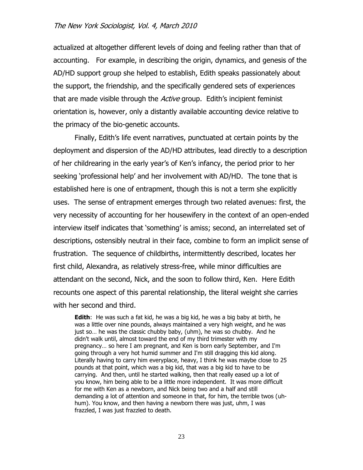actualized at altogether different levels of doing and feeling rather than that of accounting. For example, in describing the origin, dynamics, and genesis of the AD/HD support group she helped to establish, Edith speaks passionately about the support, the friendship, and the specifically gendered sets of experiences that are made visible through the *Active* group. Edith's incipient feminist orientation is, however, only a distantly available accounting device relative to the primacy of the bio-genetic accounts.

Finally, Edith"s life event narratives, punctuated at certain points by the deployment and dispersion of the AD/HD attributes, lead directly to a description of her childrearing in the early year"s of Ken"s infancy, the period prior to her seeking "professional help" and her involvement with AD/HD. The tone that is established here is one of entrapment, though this is not a term she explicitly uses. The sense of entrapment emerges through two related avenues: first, the very necessity of accounting for her housewifery in the context of an open-ended interview itself indicates that "something" is amiss; second, an interrelated set of descriptions, ostensibly neutral in their face, combine to form an implicit sense of frustration. The sequence of childbirths, intermittently described, locates her first child, Alexandra, as relatively stress-free, while minor difficulties are attendant on the second, Nick, and the soon to follow third, Ken. Here Edith recounts one aspect of this parental relationship, the literal weight she carries with her second and third.

**Edith**: He was such a fat kid, he was a big kid, he was a big baby at birth, he was a little over nine pounds, always maintained a very high weight, and he was just so… he was the classic chubby baby, (uhm), he was so chubby. And he didn't walk until, almost toward the end of my third trimester with my pregnancy… so here I am pregnant, and Ken is born early September, and I'm going through a very hot humid summer and I'm still dragging this kid along. Literally having to carry him everyplace, heavy, I think he was maybe close to 25 pounds at that point, which was a big kid, that was a big kid to have to be carrying. And then, until he started walking, then that really eased up a lot of you know, him being able to be a little more independent. It was more difficult for me with Ken as a newborn, and Nick being two and a half and still demanding a lot of attention and someone in that, for him, the terrible twos (uhhum). You know, and then having a newborn there was just, uhm, I was frazzled, I was just frazzled to death.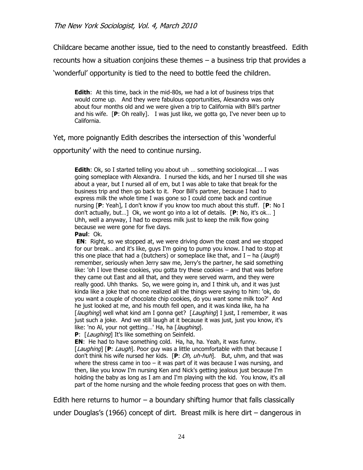Childcare became another issue, tied to the need to constantly breastfeed. Edith recounts how a situation conjoins these themes – a business trip that provides a "wonderful" opportunity is tied to the need to bottle feed the children.

**Edith**: At this time, back in the mid-80s, we had a lot of business trips that would come up. And they were fabulous opportunities, Alexandra was only about four months old and we were given a trip to California with Bill"s partner and his wife. [**P**: Oh really]. I was just like, we gotta go, I've never been up to California.

Yet, more poignantly Edith describes the intersection of this "wonderful

opportunity" with the need to continue nursing.

**Edith**: Ok, so I started telling you about uh … something sociological…. I was going someplace with Alexandra. I nursed the kids, and her I nursed till she was about a year, but I nursed all of em, but I was able to take that break for the business trip and then go back to it. Poor Bill's partner, because I had to express milk the whole time I was gone so I could come back and continue nursing [**P**: Yeah], I don't know if you know too much about this stuff. [**P**: No I don't actually, but…] Ok, we wont go into a lot of details. [**P**: No, it's ok… ] Uhh, well a anyway, I had to express milk just to keep the milk flow going because we were gone for five days.

**Paul**: Ok.

**EN**: Right, so we stopped at, we were driving down the coast and we stopped for our break… and it's like, guys I'm going to pump you know. I had to stop at this one place that had a (butchers) or someplace like that, and  $I - ha$  (*laugh*) remember, seriously when Jerry saw me, Jerry's the partner, he said something like: 'oh I love these cookies, you gotta try these cookies – and that was before they came out East and all that, and they were served warm, and they were really good. Uhh thanks. So, we were going in, and I think uh, and it was just kinda like a joke that no one realized all the things were saying to him: 'ok, do you want a couple of chocolate chip cookies, do you want some milk too?' And he just looked at me, and his mouth fell open, and it was kinda like, ha ha [laughing] well what kind am I gonna get? [Laughing] I just, I remember, it was just such a joke. And we still laugh at it because it was just, just you know, it's like: 'no Al, your not getting...' Ha, ha [*laughing*].

**P**: [*Laughing*] It's like something on Seinfeld.

**EN**: He had to have something cold. Ha, ha, ha. Yeah, it was funny. [Laughing] [P: Laugh]. Poor guy was a little uncomfortable with that because I don't think his wife nursed her kids. [**P**: Oh, uh-huh]. But, uhm, and that was where the stress came in too – it was part of it was because I was nursing, and then, like you know I'm nursing Ken and Nick's getting jealous just because I'm holding the baby as long as I am and I'm playing with the kid. You know, it's all part of the home nursing and the whole feeding process that goes on with them.

Edith here returns to humor – a boundary shifting humor that falls classically under Douglas's (1966) concept of dirt. Breast milk is here dirt  $-$  dangerous in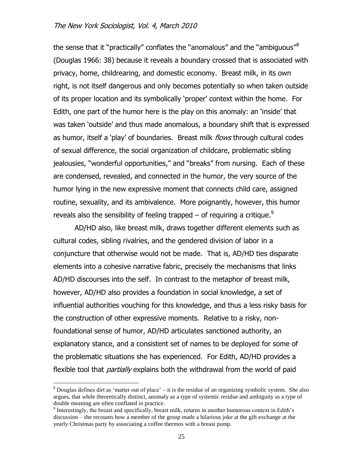the sense that it "practically" conflates the "anomalous" and the "ambiguous"<sup>8</sup> (Douglas 1966: 38) because it reveals a boundary crossed that is associated with privacy, home, childrearing, and domestic economy. Breast milk, in its own right, is not itself dangerous and only becomes potentially so when taken outside of its proper location and its symbolically "proper" context within the home. For Edith, one part of the humor here is the play on this anomaly: an "inside" that was taken "outside" and thus made anomalous, a boundary shift that is expressed as humor, itself a 'play' of boundaries. Breast milk *flows* through cultural codes of sexual difference, the social organization of childcare, problematic sibling jealousies, "wonderful opportunities," and "breaks" from nursing. Each of these are condensed, revealed, and connected in the humor, the very source of the humor lying in the new expressive moment that connects child care, assigned routine, sexuality, and its ambivalence. More poignantly, however, this humor reveals also the sensibility of feeling trapped – of requiring a critique.<sup>9</sup>

AD/HD also, like breast milk, draws together different elements such as cultural codes, sibling rivalries, and the gendered division of labor in a conjuncture that otherwise would not be made. That is, AD/HD ties disparate elements into a cohesive narrative fabric, precisely the mechanisms that links AD/HD discourses into the self. In contrast to the metaphor of breast milk, however, AD/HD also provides a foundation in social knowledge, a set of influential authorities vouching for this knowledge, and thus a less risky basis for the construction of other expressive moments. Relative to a risky, nonfoundational sense of humor, AD/HD articulates sanctioned authority, an explanatory stance, and a consistent set of names to be deployed for some of the problematic situations she has experienced. For Edith, AD/HD provides a flexible tool that *partially* explains both the withdrawal from the world of paid

 $8$  Douglas defines dirt as 'matter out of place' – it is the residue of an organizing symbolic system. She also argues, that while theoretically distinct, anomaly as a type of systemic residue and ambiguity as a type of double meaning are often conflated in practice.

<sup>&</sup>lt;sup>9</sup> Interestingly, the breast and specifically, breast milk, returns in another humorous context in Edith's discussion – she recounts how a member of the group made a hilarious joke at the gift exchange at the yearly Christmas party by associating a coffee thermos with a breast pump.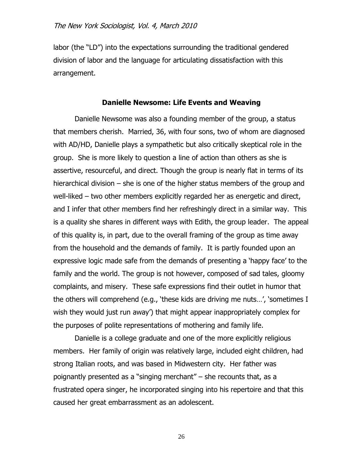labor (the "LD") into the expectations surrounding the traditional gendered division of labor and the language for articulating dissatisfaction with this arrangement.

#### **Danielle Newsome: Life Events and Weaving**

Danielle Newsome was also a founding member of the group, a status that members cherish. Married, 36, with four sons, two of whom are diagnosed with AD/HD, Danielle plays a sympathetic but also critically skeptical role in the group. She is more likely to question a line of action than others as she is assertive, resourceful, and direct. Though the group is nearly flat in terms of its hierarchical division – she is one of the higher status members of the group and well-liked – two other members explicitly regarded her as energetic and direct, and I infer that other members find her refreshingly direct in a similar way. This is a quality she shares in different ways with Edith, the group leader. The appeal of this quality is, in part, due to the overall framing of the group as time away from the household and the demands of family. It is partly founded upon an expressive logic made safe from the demands of presenting a "happy face" to the family and the world. The group is not however, composed of sad tales, gloomy complaints, and misery. These safe expressions find their outlet in humor that the others will comprehend (e.g., "these kids are driving me nuts…", "sometimes I wish they would just run away') that might appear inappropriately complex for the purposes of polite representations of mothering and family life.

Danielle is a college graduate and one of the more explicitly religious members. Her family of origin was relatively large, included eight children, had strong Italian roots, and was based in Midwestern city. Her father was poignantly presented as a "singing merchant" – she recounts that, as a frustrated opera singer, he incorporated singing into his repertoire and that this caused her great embarrassment as an adolescent.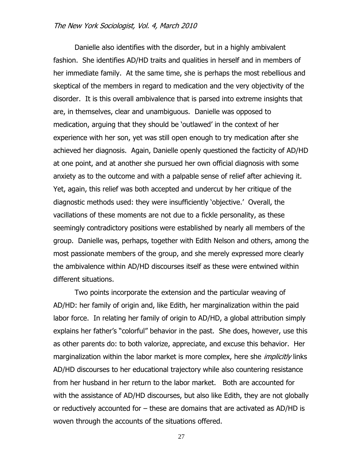Danielle also identifies with the disorder, but in a highly ambivalent fashion. She identifies AD/HD traits and qualities in herself and in members of her immediate family. At the same time, she is perhaps the most rebellious and skeptical of the members in regard to medication and the very objectivity of the disorder. It is this overall ambivalence that is parsed into extreme insights that are, in themselves, clear and unambiguous. Danielle was opposed to medication, arguing that they should be "outlawed" in the context of her experience with her son, yet was still open enough to try medication after she achieved her diagnosis. Again, Danielle openly questioned the facticity of AD/HD at one point, and at another she pursued her own official diagnosis with some anxiety as to the outcome and with a palpable sense of relief after achieving it. Yet, again, this relief was both accepted and undercut by her critique of the diagnostic methods used: they were insufficiently "objective." Overall, the vacillations of these moments are not due to a fickle personality, as these seemingly contradictory positions were established by nearly all members of the group. Danielle was, perhaps, together with Edith Nelson and others, among the most passionate members of the group, and she merely expressed more clearly the ambivalence within AD/HD discourses itself as these were entwined within different situations.

Two points incorporate the extension and the particular weaving of AD/HD: her family of origin and, like Edith, her marginalization within the paid labor force. In relating her family of origin to AD/HD, a global attribution simply explains her father"s "colorful" behavior in the past. She does, however, use this as other parents do: to both valorize, appreciate, and excuse this behavior. Her marginalization within the labor market is more complex, here she *implicitly* links AD/HD discourses to her educational trajectory while also countering resistance from her husband in her return to the labor market. Both are accounted for with the assistance of AD/HD discourses, but also like Edith, they are not globally or reductively accounted for – these are domains that are activated as AD/HD is woven through the accounts of the situations offered.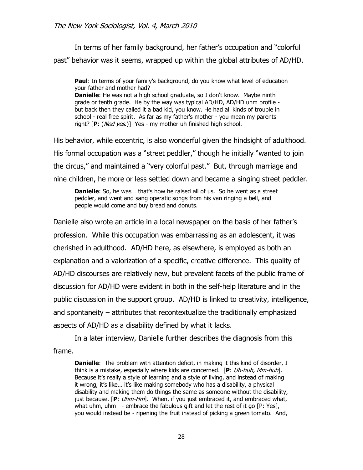In terms of her family background, her father's occupation and "colorful past" behavior was it seems, wrapped up within the global attributes of AD/HD.

**Paul**: In terms of your family's background, do you know what level of education your father and mother had? **Danielle**: He was not a high school graduate, so I don't know. Maybe ninth grade or tenth grade. He by the way was typical AD/HD, AD/HD uhm profile but back then they called it a bad kid, you know. He had all kinds of trouble in school - real free spirit. As far as my father's mother - you mean my parents right? [**P**: (Nod yes.)] Yes - my mother uh finished high school.

His behavior, while eccentric, is also wonderful given the hindsight of adulthood. His formal occupation was a "street peddler," though he initially "wanted to join the circus," and maintained a "very colorful past." But, through marriage and nine children, he more or less settled down and became a singing street peddler.

**Danielle**: So, he was... that's how he raised all of us. So he went as a street peddler, and went and sang operatic songs from his van ringing a bell, and people would come and buy bread and donuts.

Danielle also wrote an article in a local newspaper on the basis of her father"s profession. While this occupation was embarrassing as an adolescent, it was cherished in adulthood. AD/HD here, as elsewhere, is employed as both an explanation and a valorization of a specific, creative difference. This quality of AD/HD discourses are relatively new, but prevalent facets of the public frame of discussion for AD/HD were evident in both in the self-help literature and in the public discussion in the support group. AD/HD is linked to creativity, intelligence, and spontaneity – attributes that recontextualize the traditionally emphasized aspects of AD/HD as a disability defined by what it lacks.

In a later interview, Danielle further describes the diagnosis from this frame.

**Danielle:** The problem with attention deficit, in making it this kind of disorder, I think is a mistake, especially where kids are concerned. [**P**: Uh-huh, Mm-huh]. Because it"s really a style of learning and a style of living, and instead of making it wrong, it's like... it's like making somebody who has a disability, a physical disability and making them do things the same as someone without the disability, just because. [**P**: Uhm-Hm]. When, if you just embraced it, and embraced what, what uhm, uhm  $-$  embrace the fabulous gift and let the rest of it go  $[P: Yes]$ , you would instead be - ripening the fruit instead of picking a green tomato. And,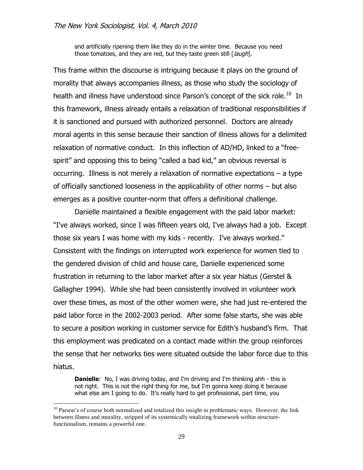and artificially ripening them like they do in the winter time. Because you need those tomatoes, and they are red, but they taste green still [*laugh*].

This frame within the discourse is intriguing because it plays on the ground of morality that always accompanies illness, as those who study the sociology of health and illness have understood since Parson's concept of the sick role.<sup>10</sup> In this framework, illness already entails a relaxation of traditional responsibilities if it is sanctioned and pursued with authorized personnel. Doctors are already moral agents in this sense because their sanction of illness allows for a delimited relaxation of normative conduct. In this inflection of AD/HD, linked to a "freespirit" and opposing this to being "called a bad kid," an obvious reversal is occurring. Illness is not merely a relaxation of normative expectations – a type of officially sanctioned looseness in the applicability of other norms – but also emerges as a positive counter-norm that offers a definitional challenge.

Danielle maintained a flexible engagement with the paid labor market: "I've always worked, since I was fifteen years old, I've always had a job. Except those six years I was home with my kids - recently. I've always worked." Consistent with the findings on interrupted work experience for women tied to the gendered division of child and house care, Danielle experienced some frustration in returning to the labor market after a six year hiatus (Gerstel & Gallagher 1994). While she had been consistently involved in volunteer work over these times, as most of the other women were, she had just re-entered the paid labor force in the 2002-2003 period. After some false starts, she was able to secure a position working in customer service for Edith"s husband"s firm. That this employment was predicated on a contact made within the group reinforces the sense that her networks ties were situated outside the labor force due to this hiatus.

**Danielle**: No, I was driving today, and I'm driving and I'm thinking ahh - this is not right. This is not the right thing for me, but I'm gonna keep doing it because what else am I going to do. It's really hard to get professional, part time, you

<sup>&</sup>lt;sup>10</sup> Parson's of course both normalized and totalized this insight in problematic ways. However, the link between illness and morality, stripped of its systemically totalizing framework within structurefunctionalism, remains a powerful one.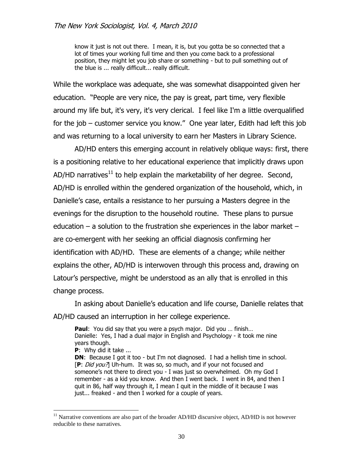know it just is not out there. I mean, it is, but you gotta be so connected that a lot of times your working full time and then you come back to a professional position, they might let you job share or something - but to pull something out of the blue is ... really difficult... really difficult.

While the workplace was adequate, she was somewhat disappointed given her education. "People are very nice, the pay is great, part time, very flexible around my life but, it's very, it's very clerical. I feel like I'm a little overqualified for the job – customer service you know." One year later, Edith had left this job and was returning to a local university to earn her Masters in Library Science.

AD/HD enters this emerging account in relatively oblique ways: first, there is a positioning relative to her educational experience that implicitly draws upon AD/HD narratives<sup>11</sup> to help explain the marketability of her degree. Second, AD/HD is enrolled within the gendered organization of the household, which, in Danielle"s case, entails a resistance to her pursuing a Masters degree in the evenings for the disruption to the household routine. These plans to pursue education – a solution to the frustration she experiences in the labor market – are co-emergent with her seeking an official diagnosis confirming her identification with AD/HD. These are elements of a change; while neither explains the other, AD/HD is interwoven through this process and, drawing on Latour"s perspective, might be understood as an ally that is enrolled in this change process.

In asking about Danielle"s education and life course, Danielle relates that AD/HD caused an interruption in her college experience.

**Paul**: You did say that you were a psych major. Did you … finish… Danielle: Yes, I had a dual major in English and Psychology - it took me nine years though.

**P**: Why did it take ...

 $\overline{a}$ 

**DN:** Because I got it too - but I'm not diagnosed. I had a hellish time in school. [**P**: Did you?] Uh-hum. It was so, so much, and if your not focused and someone's not there to direct you - I was just so overwhelmed. Oh my God I remember - as a kid you know. And then I went back. I went in 84, and then I quit in 86, half way through it, I mean I quit in the middle of it because I was just... freaked - and then I worked for a couple of years.

 $11$  Narrative conventions are also part of the broader AD/HD discursive object, AD/HD is not however reducible to these narratives.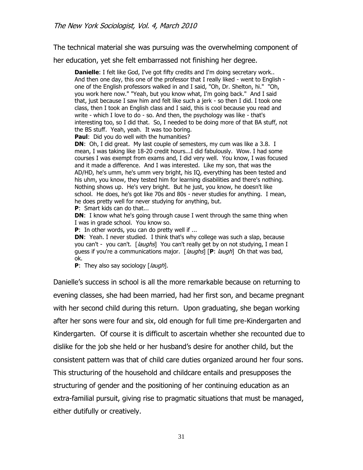The technical material she was pursuing was the overwhelming component of

her education, yet she felt embarrassed not finishing her degree.

**Danielle**: I felt like God, I've got fifty credits and I'm doing secretary work.. And then one day, this one of the professor that I really liked - went to English one of the English professors walked in and I said, "Oh, Dr. Shelton, hi." "Oh, you work here now." "Yeah, but you know what, I'm going back." And I said that, just because I saw him and felt like such a jerk - so then I did. I took one class, then I took an English class and I said, this is cool because you read and write - which I love to do - so. And then, the psychology was like - that's interesting too, so I did that. So, I needed to be doing more of that BA stuff, not the BS stuff. Yeah, yeah. It was too boring.

**Paul**: Did you do well with the humanities?

**DN**: Oh, I did great. My last couple of semesters, my cum was like a 3.8. I mean, I was taking like 18-20 credit hours...I did fabulously. Wow. I had some courses I was exempt from exams and, I did very well. You know, I was focused and it made a difference. And I was interested. Like my son, that was the AD/HD, he's umm, he's umm very bright, his IQ, everything has been tested and his uhm, you know, they tested him for learning disabilities and there's nothing. Nothing shows up. He's very bright. But he just, you know, he doesn't like school. He does, he's got like 70s and 80s - never studies for anything. I mean, he does pretty well for never studying for anything, but.

**P**: Smart kids can do that...

**DN**: I know what he's going through cause I went through the same thing when I was in grade school. You know so.

**P**: In other words, you can do pretty well if ...

**DN:** Yeah. I never studied. I think that's why college was such a slap, because you can't - you can't. [*laughs*] You can't really get by on not studying, I mean I guess if you're a communications major. [*laughs*] [P: *laugh*] Oh that was bad, ok.

**P**: They also say sociology [*laugh*].

Danielle"s success in school is all the more remarkable because on returning to evening classes, she had been married, had her first son, and became pregnant with her second child during this return. Upon graduating, she began working after her sons were four and six, old enough for full time pre-Kindergarten and Kindergarten. Of course it is difficult to ascertain whether she recounted due to dislike for the job she held or her husband"s desire for another child, but the consistent pattern was that of child care duties organized around her four sons. This structuring of the household and childcare entails and presupposes the structuring of gender and the positioning of her continuing education as an extra-familial pursuit, giving rise to pragmatic situations that must be managed, either dutifully or creatively.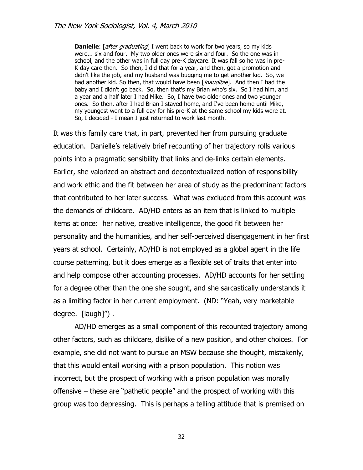**Danielle**: [*after graduating*] I went back to work for two years, so my kids were... six and four. My two older ones were six and four. So the one was in school, and the other was in full day pre-K daycare. It was fall so he was in pre-K day care then. So then, I did that for a year, and then, got a promotion and didn't like the job, and my husband was bugging me to get another kid. So, we had another kid. So then, that would have been [inaudible]. And then I had the baby and I didn't go back. So, then that's my Brian who's six. So I had him, and a year and a half later I had Mike. So, I have two older ones and two younger ones. So then, after I had Brian I stayed home, and I've been home until Mike, my youngest went to a full day for his pre-K at the same school my kids were at. So, I decided - I mean I just returned to work last month.

It was this family care that, in part, prevented her from pursuing graduate education. Danielle"s relatively brief recounting of her trajectory rolls various points into a pragmatic sensibility that links and de-links certain elements. Earlier, she valorized an abstract and decontextualized notion of responsibility and work ethic and the fit between her area of study as the predominant factors that contributed to her later success. What was excluded from this account was the demands of childcare. AD/HD enters as an item that is linked to multiple items at once: her native, creative intelligence, the good fit between her personality and the humanities, and her self-perceived disengagement in her first years at school. Certainly, AD/HD is not employed as a global agent in the life course patterning, but it does emerge as a flexible set of traits that enter into and help compose other accounting processes. AD/HD accounts for her settling for a degree other than the one she sought, and she sarcastically understands it as a limiting factor in her current employment. (ND: "Yeah, very marketable degree. [laugh]") .

AD/HD emerges as a small component of this recounted trajectory among other factors, such as childcare, dislike of a new position, and other choices. For example, she did not want to pursue an MSW because she thought, mistakenly, that this would entail working with a prison population. This notion was incorrect, but the prospect of working with a prison population was morally offensive – these are "pathetic people" and the prospect of working with this group was too depressing. This is perhaps a telling attitude that is premised on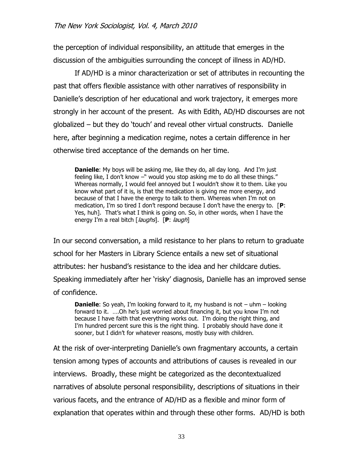the perception of individual responsibility, an attitude that emerges in the discussion of the ambiguities surrounding the concept of illness in AD/HD.

If AD/HD is a minor characterization or set of attributes in recounting the past that offers flexible assistance with other narratives of responsibility in Danielle"s description of her educational and work trajectory, it emerges more strongly in her account of the present. As with Edith, AD/HD discourses are not globalized – but they do "touch" and reveal other virtual constructs. Danielle here, after beginning a medication regime, notes a certain difference in her otherwise tired acceptance of the demands on her time.

**Danielle**: My boys will be asking me, like they do, all day long. And I'm just feeling like, I don't know -" would you stop asking me to do all these things." Whereas normally, I would feel annoyed but I wouldn't show it to them. Like you know what part of it is, is that the medication is giving me more energy, and because of that I have the energy to talk to them. Whereas when I"m not on medication, I'm so tired I don't respond because I don't have the energy to. [P: Yes, huh]. That's what I think is going on. So, in other words, when I have the energy I'm a real bitch [*laughs*]. [P: *laugh*]

In our second conversation, a mild resistance to her plans to return to graduate school for her Masters in Library Science entails a new set of situational attributes: her husband"s resistance to the idea and her childcare duties. Speaking immediately after her "risky" diagnosis, Danielle has an improved sense of confidence.

**Danielle**: So yeah, I'm looking forward to it, my husband is not – uhm – looking forward to it. .... Oh he's just worried about financing it, but you know I'm not because I have faith that everything works out. I"m doing the right thing, and I"m hundred percent sure this is the right thing. I probably should have done it sooner, but I didn't for whatever reasons, mostly busy with children.

At the risk of over-interpreting Danielle"s own fragmentary accounts, a certain tension among types of accounts and attributions of causes is revealed in our interviews. Broadly, these might be categorized as the decontextualized narratives of absolute personal responsibility, descriptions of situations in their various facets, and the entrance of AD/HD as a flexible and minor form of explanation that operates within and through these other forms. AD/HD is both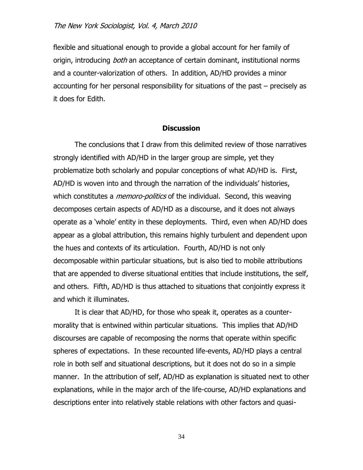flexible and situational enough to provide a global account for her family of origin, introducing *both* an acceptance of certain dominant, institutional norms and a counter-valorization of others. In addition, AD/HD provides a minor accounting for her personal responsibility for situations of the past – precisely as it does for Edith.

#### **Discussion**

The conclusions that I draw from this delimited review of those narratives strongly identified with AD/HD in the larger group are simple, yet they problematize both scholarly and popular conceptions of what AD/HD is. First, AD/HD is woven into and through the narration of the individuals" histories, which constitutes a *memoro-politics* of the individual. Second, this weaving decomposes certain aspects of AD/HD as a discourse, and it does not always operate as a "whole" entity in these deployments. Third, even when AD/HD does appear as a global attribution, this remains highly turbulent and dependent upon the hues and contexts of its articulation. Fourth, AD/HD is not only decomposable within particular situations, but is also tied to mobile attributions that are appended to diverse situational entities that include institutions, the self, and others. Fifth, AD/HD is thus attached to situations that conjointly express it and which it illuminates.

It is clear that AD/HD, for those who speak it, operates as a countermorality that is entwined within particular situations. This implies that AD/HD discourses are capable of recomposing the norms that operate within specific spheres of expectations. In these recounted life-events, AD/HD plays a central role in both self and situational descriptions, but it does not do so in a simple manner. In the attribution of self, AD/HD as explanation is situated next to other explanations, while in the major arch of the life-course, AD/HD explanations and descriptions enter into relatively stable relations with other factors and quasi-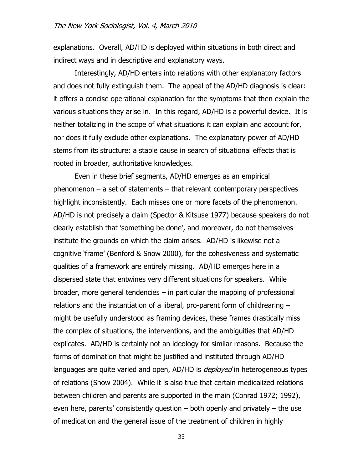explanations. Overall, AD/HD is deployed within situations in both direct and indirect ways and in descriptive and explanatory ways.

Interestingly, AD/HD enters into relations with other explanatory factors and does not fully extinguish them. The appeal of the AD/HD diagnosis is clear: it offers a concise operational explanation for the symptoms that then explain the various situations they arise in. In this regard, AD/HD is a powerful device. It is neither totalizing in the scope of what situations it can explain and account for, nor does it fully exclude other explanations. The explanatory power of AD/HD stems from its structure: a stable cause in search of situational effects that is rooted in broader, authoritative knowledges.

Even in these brief segments, AD/HD emerges as an empirical phenomenon – a set of statements – that relevant contemporary perspectives highlight inconsistently. Each misses one or more facets of the phenomenon. AD/HD is not precisely a claim (Spector & Kitsuse 1977) because speakers do not clearly establish that "something be done", and moreover, do not themselves institute the grounds on which the claim arises. AD/HD is likewise not a cognitive "frame" (Benford & Snow 2000), for the cohesiveness and systematic qualities of a framework are entirely missing. AD/HD emerges here in a dispersed state that entwines very different situations for speakers. While broader, more general tendencies – in particular the mapping of professional relations and the instantiation of a liberal, pro-parent form of childrearing – might be usefully understood as framing devices, these frames drastically miss the complex of situations, the interventions, and the ambiguities that AD/HD explicates. AD/HD is certainly not an ideology for similar reasons. Because the forms of domination that might be justified and instituted through AD/HD languages are quite varied and open, AD/HD is *deployed* in heterogeneous types of relations (Snow 2004). While it is also true that certain medicalized relations between children and parents are supported in the main (Conrad 1972; 1992), even here, parents' consistently question  $-$  both openly and privately  $-$  the use of medication and the general issue of the treatment of children in highly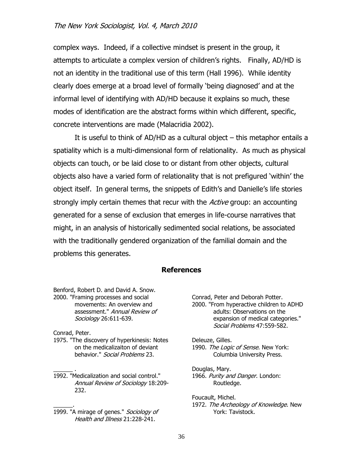complex ways. Indeed, if a collective mindset is present in the group, it attempts to articulate a complex version of children"s rights. Finally, AD/HD is not an identity in the traditional use of this term (Hall 1996). While identity clearly does emerge at a broad level of formally "being diagnosed" and at the informal level of identifying with AD/HD because it explains so much, these modes of identification are the abstract forms within which different, specific, concrete interventions are made (Malacridia 2002).

It is useful to think of AD/HD as a cultural object – this metaphor entails a spatiality which is a multi-dimensional form of relationality. As much as physical objects can touch, or be laid close to or distant from other objects, cultural objects also have a varied form of relationality that is not prefigured "within" the object itself. In general terms, the snippets of Edith"s and Danielle"s life stories strongly imply certain themes that recur with the Active group: an accounting generated for a sense of exclusion that emerges in life-course narratives that might, in an analysis of historically sedimented social relations, be associated with the traditionally gendered organization of the familial domain and the problems this generates.

#### **References**

Benford, Robert D. and David A. Snow. 2000. "Framing processes and social movements: An overview and assessment." Annual Review of Sociology 26:611-639.

Conrad, Peter.

 $\overline{\phantom{a}}$  .

 $\overline{\phantom{a}}$ 

- 1975. "The discovery of hyperkinesis: Notes on the medicalizaiton of deviant behavior." Social Problems 23.
- 1992. "Medicalization and social control." Annual Review of Sociology 18:209- 232.
- 1999. "A mirage of genes." Sociology of Health and Illness 21:228-241.

Conrad, Peter and Deborah Potter. 2000. "From hyperactive children to ADHD adults: Observations on the expansion of medical categories." Social Problems 47:559-582.

Deleuze, Gilles. 1990. The Logic of Sense. New York: Columbia University Press.

Douglas, Mary. 1966. Purity and Danger. London: Routledge.

Foucault, Michel. 1972. The Archeology of Knowledge. New York: Tavistock.